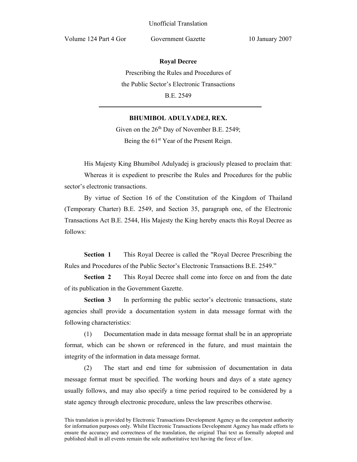Volume 124 Part 4 Gor Government Gazette 10 January 2007

**Royal Decree**

Prescribing the Rules and Procedures of the Public Sector's Electronic Transactions B.E. 2549

## **BHUMIBOL ADULYADEJ, REX.**

Given on the  $26<sup>th</sup>$  Day of November B.E. 2549; Being the 61<sup>st</sup> Year of the Present Reign.

His Majesty King Bhumibol Adulyadej is graciously pleased to proclaim that: Whereas it is expedient to prescribe the Rules and Procedures for the public sector's electronic transactions.

 By virtue of Section 16 of the Constitution of the Kingdom of Thailand (Temporary Charter) B.E. 2549, and Section 35, paragraph one, of the Electronic Transactions Act B.E. 2544, His Majesty the King hereby enacts this Royal Decree as follows:

**Section 1** This Royal Decree is called the "Royal Decree Prescribing the Rules and Procedures of the Public Sector's Electronic Transactions B.E. 2549."

**Section 2** This Royal Decree shall come into force on and from the date of its publication in the Government Gazette.

**Section 3** In performing the public sector's electronic transactions, state agencies shall provide a documentation system in data message format with the following characteristics:

(1) Documentation made in data message format shall be in an appropriate format, which can be shown or referenced in the future, and must maintain the integrity of the information in data message format.

(2) The start and end time for submission of documentation in data message format must be specified. The working hours and days of a state agency usually follows, and may also specify a time period required to be considered by a state agency through electronic procedure, unless the law prescribes otherwise.

This translation is provided by Electronic Transactions Development Agency as the competent authority for information purposes only. Whilst Electronic Transactions Development Agency has made efforts to ensure the accuracy and correctness of the translation, the original Thai text as formally adopted and published shall in all events remain the sole authoritative text having the force of law.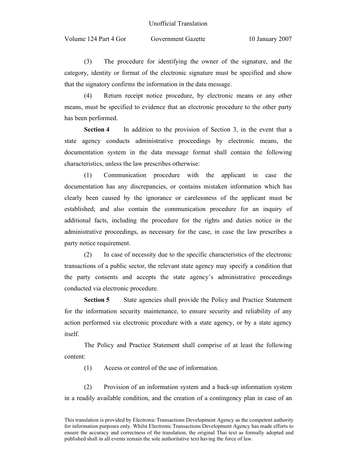Volume 124 Part 4 Gor Government Gazette 10 January 2007

(3) The procedure for identifying the owner of the signature, and the category, identity or format of the electronic signature must be specified and show that the signatory confirms the information in the data message.

(4) Return receipt notice procedure, by electronic means or any other means, must be specified to evidence that an electronic procedure to the other party has been performed.

**Section 4** In addition to the provision of Section 3, in the event that a state agency conducts administrative proceedings by electronic means, the documentation system in the data message format shall contain the following characteristics, unless the law prescribes otherwise:

(1) Communication procedure with the applicant in case the documentation has any discrepancies, or contains mistaken information which has clearly been caused by the ignorance or carelessness of the applicant must be established; and also contain the communication procedure for an inquiry of additional facts, including the procedure for the rights and duties notice in the administrative proceedings, as necessary for the case, in case the law prescribes a party notice requirement.

(2) In case of necessity due to the specific characteristics of the electronic transactions of a public sector, the relevant state agency may specify a condition that the party consents and accepts the state agency's administrative proceedings conducted via electronic procedure.

**Section 5** State agencies shall provide the Policy and Practice Statement for the information security maintenance, to ensure security and reliability of any action performed via electronic procedure with a state agency, or by a state agency itself.

The Policy and Practice Statement shall comprise of at least the following content:

(1) Access or control of the use of information.

(2) Provision of an information system and a back-up information system in a readily available condition, and the creation of a contingency plan in case of an

This translation is provided by Electronic Transactions Development Agency as the competent authority for information purposes only. Whilst Electronic Transactions Development Agency has made efforts to ensure the accuracy and correctness of the translation, the original Thai text as formally adopted and published shall in all events remain the sole authoritative text having the force of law.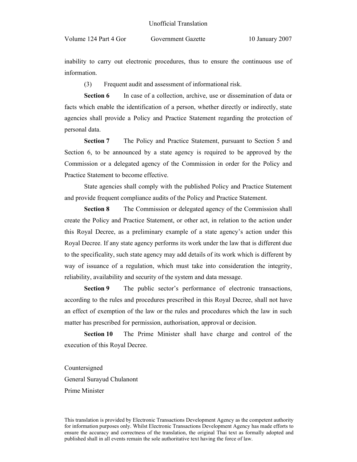inability to carry out electronic procedures, thus to ensure the continuous use of information.

(3) Frequent audit and assessment of informational risk.

**Section 6** In case of a collection, archive, use or dissemination of data or facts which enable the identification of a person, whether directly or indirectly, state agencies shall provide a Policy and Practice Statement regarding the protection of personal data.

**Section 7** The Policy and Practice Statement, pursuant to Section 5 and Section 6, to be announced by a state agency is required to be approved by the Commission or a delegated agency of the Commission in order for the Policy and Practice Statement to become effective.

State agencies shall comply with the published Policy and Practice Statement and provide frequent compliance audits of the Policy and Practice Statement.

**Section 8** The Commission or delegated agency of the Commission shall create the Policy and Practice Statement, or other act, in relation to the action under this Royal Decree, as a preliminary example of a state agency's action under this Royal Decree. If any state agency performs its work under the law that is different due to the specificality, such state agency may add details of its work which is different by way of issuance of a regulation, which must take into consideration the integrity, reliability, availability and security of the system and data message.

**Section 9** The public sector's performance of electronic transactions, according to the rules and procedures prescribed in this Royal Decree, shall not have an effect of exemption of the law or the rules and procedures which the law in such matter has prescribed for permission, authorisation, approval or decision.

**Section 10** The Prime Minister shall have charge and control of the execution of this Royal Decree.

Countersigned General Surayud Chulanont Prime Minister

This translation is provided by Electronic Transactions Development Agency as the competent authority for information purposes only. Whilst Electronic Transactions Development Agency has made efforts to ensure the accuracy and correctness of the translation, the original Thai text as formally adopted and published shall in all events remain the sole authoritative text having the force of law.